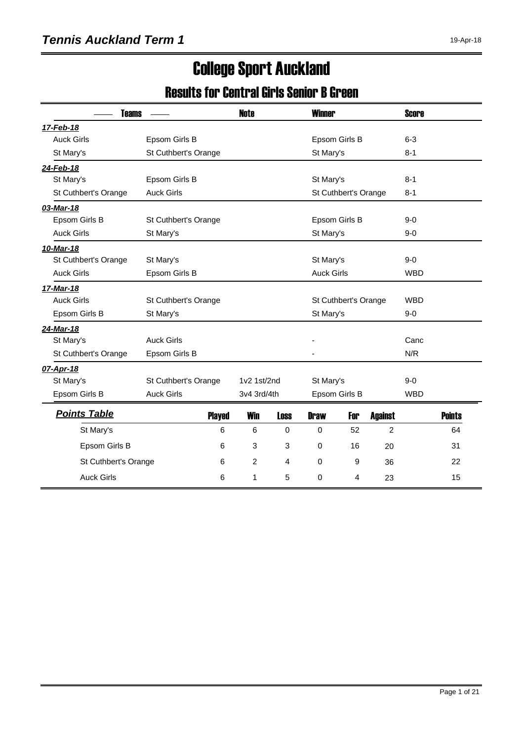## College Sport Auckland

#### Results for Central Girls Senior B Green

| <b>Teams</b>         |                      |               | <b>Note</b>    |             | <b>Winner</b>     |                      |                | <b>Score</b> |               |
|----------------------|----------------------|---------------|----------------|-------------|-------------------|----------------------|----------------|--------------|---------------|
| 17-Feb-18            |                      |               |                |             |                   |                      |                |              |               |
| <b>Auck Girls</b>    | Epsom Girls B        |               |                |             |                   | Epsom Girls B        |                | $6 - 3$      |               |
| St Mary's            | St Cuthbert's Orange |               |                |             | St Mary's         |                      |                | $8 - 1$      |               |
| 24-Feb-18            |                      |               |                |             |                   |                      |                |              |               |
| St Mary's            | Epsom Girls B        |               |                |             | St Mary's         |                      |                | $8 - 1$      |               |
| St Cuthbert's Orange | <b>Auck Girls</b>    |               |                |             |                   | St Cuthbert's Orange |                | $8 - 1$      |               |
| 03-Mar-18            |                      |               |                |             |                   |                      |                |              |               |
| Epsom Girls B        | St Cuthbert's Orange |               |                |             |                   | Epsom Girls B        |                | $9 - 0$      |               |
| <b>Auck Girls</b>    | St Mary's            |               |                |             | St Mary's         |                      |                | $9 - 0$      |               |
| 10-Mar-18            |                      |               |                |             |                   |                      |                |              |               |
| St Cuthbert's Orange | St Mary's            |               |                |             | St Mary's         |                      |                | $9 - 0$      |               |
| <b>Auck Girls</b>    | Epsom Girls B        |               |                |             | <b>Auck Girls</b> |                      |                | <b>WBD</b>   |               |
| 17-Mar-18            |                      |               |                |             |                   |                      |                |              |               |
| <b>Auck Girls</b>    | St Cuthbert's Orange |               |                |             |                   | St Cuthbert's Orange |                | <b>WBD</b>   |               |
| Epsom Girls B        | St Mary's            |               |                |             | St Mary's         |                      |                | $9 - 0$      |               |
| 24-Mar-18            |                      |               |                |             |                   |                      |                |              |               |
| St Mary's            | <b>Auck Girls</b>    |               |                |             |                   |                      |                | Canc         |               |
| St Cuthbert's Orange | Epsom Girls B        |               |                |             |                   |                      |                | N/R          |               |
| 07-Apr-18            |                      |               |                |             |                   |                      |                |              |               |
| St Mary's            | St Cuthbert's Orange |               | 1v2 1st/2nd    |             | St Mary's         |                      |                | $9-0$        |               |
| Epsom Girls B        | <b>Auck Girls</b>    |               | 3v4 3rd/4th    |             |                   | Epsom Girls B        |                | <b>WBD</b>   |               |
| <b>Points Table</b>  |                      | <b>Played</b> | <b>Win</b>     | <b>Loss</b> | <b>Draw</b>       | For                  | <b>Against</b> |              | <b>Points</b> |
| St Mary's            |                      | 6             | 6              | $\Omega$    | $\mathbf 0$       | 52                   | $\overline{c}$ |              | 64            |
| Epsom Girls B        |                      | 6             | 3              | 3           | $\mathbf 0$       | 16                   | 20             |              | 31            |
| St Cuthbert's Orange |                      | 6             | $\overline{c}$ | 4           | $\mathbf 0$       | 9                    | 36             |              | 22            |
| <b>Auck Girls</b>    |                      | 6             | 1              | 5           | $\mathbf 0$       | 4                    | 23             |              | 15            |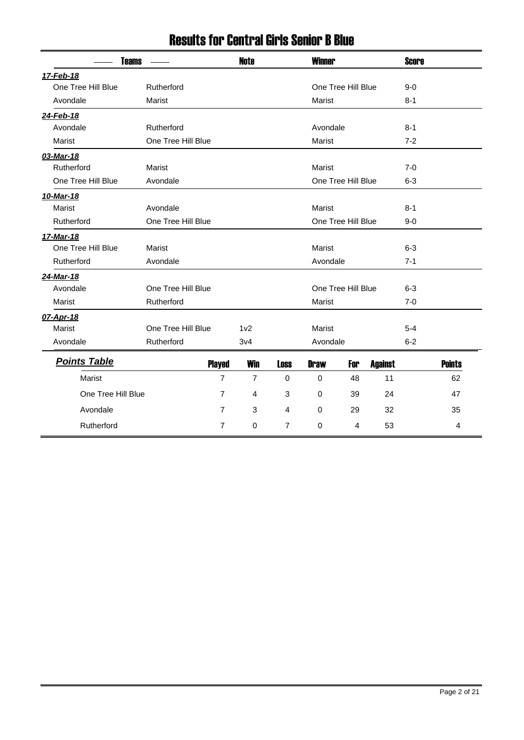| <b>Teams</b>        |                    |     | <b>Note</b>     |                | <b>Winner</b> |                    |                | <b>Score</b> |               |
|---------------------|--------------------|-----|-----------------|----------------|---------------|--------------------|----------------|--------------|---------------|
| 17-Feb-18           |                    |     |                 |                |               |                    |                |              |               |
| One Tree Hill Blue  | Rutherford         |     |                 |                |               | One Tree Hill Blue |                | $9 - 0$      |               |
| Avondale            | Marist             |     |                 |                | Marist        |                    |                | $8 - 1$      |               |
| 24-Feb-18           |                    |     |                 |                |               |                    |                |              |               |
| Avondale            | Rutherford         |     |                 |                | Avondale      |                    |                | $8 - 1$      |               |
| Marist              | One Tree Hill Blue |     |                 |                | Marist        |                    |                | $7 - 2$      |               |
| 03-Mar-18           |                    |     |                 |                |               |                    |                |              |               |
| Rutherford          | Marist             |     |                 |                | <b>Marist</b> |                    |                | $7 - 0$      |               |
| One Tree Hill Blue  | Avondale           |     |                 |                |               | One Tree Hill Blue |                | $6 - 3$      |               |
| 10-Mar-18           |                    |     |                 |                |               |                    |                |              |               |
| Marist              | Avondale           |     |                 |                | Marist        |                    |                | $8 - 1$      |               |
| Rutherford          | One Tree Hill Blue |     |                 |                |               | One Tree Hill Blue |                | $9 - 0$      |               |
| 17-Mar-18           |                    |     |                 |                |               |                    |                |              |               |
| One Tree Hill Blue  | Marist             |     |                 |                | Marist        |                    |                | $6 - 3$      |               |
| Rutherford          | Avondale           |     |                 |                | Avondale      |                    |                | $7 - 1$      |               |
| 24-Mar-18           |                    |     |                 |                |               |                    |                |              |               |
| Avondale            | One Tree Hill Blue |     |                 |                |               | One Tree Hill Blue |                | $6 - 3$      |               |
| Marist              | Rutherford         |     |                 |                | Marist        |                    |                | $7-0$        |               |
| 07-Apr-18           |                    |     |                 |                |               |                    |                |              |               |
| Marist              | One Tree Hill Blue |     | 1 <sub>v2</sub> |                | Marist        |                    |                | $5 - 4$      |               |
| Avondale            | Rutherford         | 3v4 |                 |                | Avondale      |                    |                | $6 - 2$      |               |
| <b>Points Table</b> | <b>Played</b>      |     | <b>Win</b>      | <b>Loss</b>    | <b>Draw</b>   | For                | <b>Against</b> |              | <b>Points</b> |
| Marist              | $\overline{7}$     |     | $\overline{7}$  | $\mathbf 0$    | $\mathbf 0$   | 48                 | 11             |              | 62            |
| One Tree Hill Blue  | $\overline{7}$     |     | $\overline{4}$  | 3              | 0             | 39                 | 24             |              | 47            |
| Avondale            | $\overline{7}$     |     | 3               | $\overline{4}$ | $\mathbf 0$   | 29                 | 32             |              | 35            |
| Rutherford          | $\overline{7}$     |     | $\mathbf 0$     | 7              | 0             | 4                  | 53             |              | 4             |

#### Results for Central Girls Senior B Blue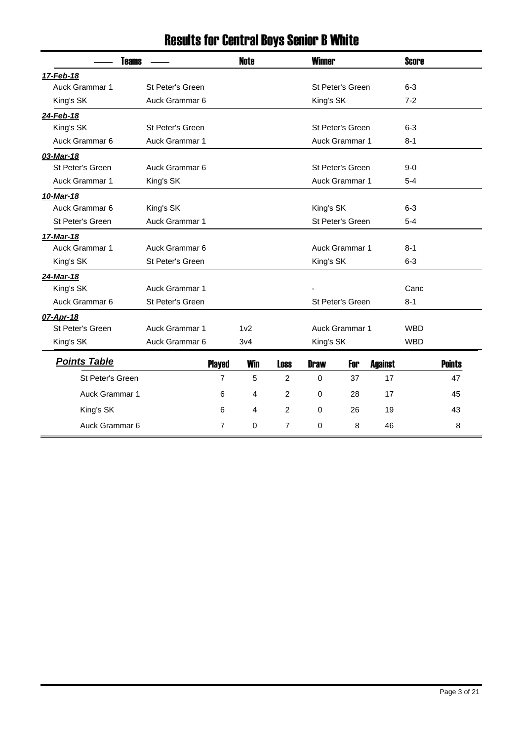| <b>Teams</b>          |                       |                | <b>Note</b>     |                | <b>Winner</b> |                  |                | <b>Score</b> |               |
|-----------------------|-----------------------|----------------|-----------------|----------------|---------------|------------------|----------------|--------------|---------------|
| 17-Feb-18             |                       |                |                 |                |               |                  |                |              |               |
| <b>Auck Grammar 1</b> | St Peter's Green      |                |                 |                |               | St Peter's Green |                | $6 - 3$      |               |
| King's SK             | Auck Grammar 6        |                |                 |                | King's SK     |                  |                | $7 - 2$      |               |
| 24-Feb-18             |                       |                |                 |                |               |                  |                |              |               |
| King's SK             | St Peter's Green      |                |                 |                |               | St Peter's Green |                | $6 - 3$      |               |
| Auck Grammar 6        | Auck Grammar 1        |                |                 |                |               | Auck Grammar 1   |                | $8 - 1$      |               |
| 03-Mar-18             |                       |                |                 |                |               |                  |                |              |               |
| St Peter's Green      | Auck Grammar 6        |                |                 |                |               | St Peter's Green |                | $9 - 0$      |               |
| Auck Grammar 1        | King's SK             |                |                 |                |               | Auck Grammar 1   |                | $5 - 4$      |               |
| 10-Mar-18             |                       |                |                 |                |               |                  |                |              |               |
| Auck Grammar 6        | King's SK             |                |                 |                | King's SK     |                  |                | $6 - 3$      |               |
| St Peter's Green      | <b>Auck Grammar 1</b> |                |                 |                |               | St Peter's Green |                | $5 - 4$      |               |
| 17-Mar-18             |                       |                |                 |                |               |                  |                |              |               |
| Auck Grammar 1        | Auck Grammar 6        |                |                 |                |               | Auck Grammar 1   |                | $8 - 1$      |               |
| King's SK             | St Peter's Green      |                |                 |                | King's SK     |                  |                | $6 - 3$      |               |
| 24-Mar-18             |                       |                |                 |                |               |                  |                |              |               |
| King's SK             | Auck Grammar 1        |                |                 |                |               |                  |                | Canc         |               |
| Auck Grammar 6        | St Peter's Green      |                |                 |                |               | St Peter's Green |                | $8 - 1$      |               |
| 07-Apr-18             |                       |                |                 |                |               |                  |                |              |               |
| St Peter's Green      | Auck Grammar 1        |                | 1 <sub>v2</sub> |                |               | Auck Grammar 1   |                | <b>WBD</b>   |               |
| King's SK             | Auck Grammar 6        |                | 3v4             |                | King's SK     |                  |                | <b>WBD</b>   |               |
| <b>Points Table</b>   |                       | <b>Played</b>  | <b>Win</b>      | <b>Loss</b>    | <b>Draw</b>   | For              | <b>Against</b> |              | <b>Points</b> |
| St Peter's Green      |                       | $\overline{7}$ | 5               | $\overline{2}$ | $\Omega$      | 37               | 17             |              | 47            |
| Auck Grammar 1        |                       | 6              | 4               | $\overline{c}$ | $\mathbf 0$   | 28               | 17             |              | 45            |
| King's SK             |                       | 6              | $\overline{4}$  | $\overline{2}$ | 0             | 26               | 19             |              | 43            |
| Auck Grammar 6        |                       | 7              | 0               | $\overline{7}$ | 0             | 8                | 46             |              | 8             |
|                       |                       |                |                 |                |               |                  |                |              |               |

## Results for Central Boys Senior B White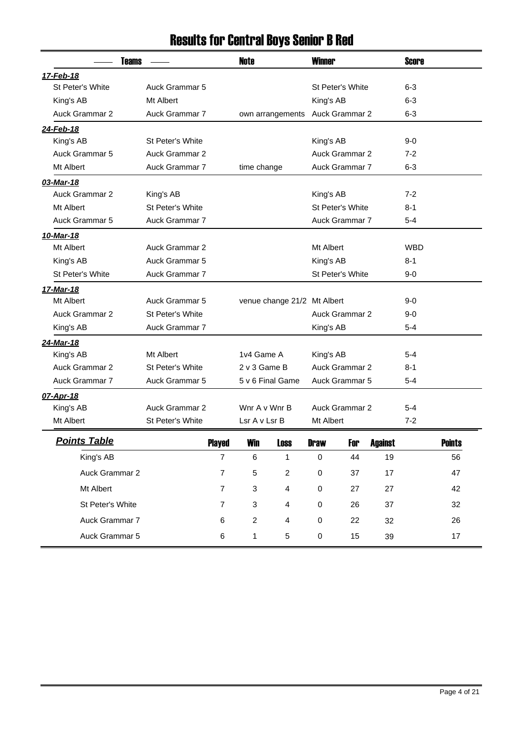| <b>Teams</b>          |                       |                | Note           |                             | <b>Winner</b> |                       |                | <b>Score</b> |               |
|-----------------------|-----------------------|----------------|----------------|-----------------------------|---------------|-----------------------|----------------|--------------|---------------|
| 17-Feb-18             |                       |                |                |                             |               |                       |                |              |               |
| St Peter's White      | Auck Grammar 5        |                |                |                             |               | St Peter's White      |                | $6 - 3$      |               |
| King's AB             | Mt Albert             |                |                |                             | King's AB     |                       |                | 6-3          |               |
| <b>Auck Grammar 2</b> | Auck Grammar 7        |                |                | own arrangements            |               | Auck Grammar 2        |                | $6 - 3$      |               |
| 24-Feb-18             |                       |                |                |                             |               |                       |                |              |               |
| King's AB             | St Peter's White      |                |                |                             | King's AB     |                       |                | 9-0          |               |
| Auck Grammar 5        | Auck Grammar 2        |                |                |                             |               | <b>Auck Grammar 2</b> |                | $7-2$        |               |
| Mt Albert             | Auck Grammar 7        |                | time change    |                             |               | Auck Grammar 7        |                | $6 - 3$      |               |
| 03-Mar-18             |                       |                |                |                             |               |                       |                |              |               |
| Auck Grammar 2        | King's AB             |                |                |                             | King's AB     |                       |                | $7-2$        |               |
| Mt Albert             | St Peter's White      |                |                |                             |               | St Peter's White      |                | 8-1          |               |
| Auck Grammar 5        | Auck Grammar 7        |                |                |                             |               | Auck Grammar 7        |                | $5 - 4$      |               |
| 10-Mar-18             |                       |                |                |                             |               |                       |                |              |               |
| Mt Albert             | <b>Auck Grammar 2</b> |                |                |                             | Mt Albert     |                       |                | <b>WBD</b>   |               |
| King's AB             | Auck Grammar 5        |                |                |                             | King's AB     |                       |                | 8-1          |               |
| St Peter's White      | Auck Grammar 7        |                |                |                             |               | St Peter's White      |                | 9-0          |               |
| 17-Mar-18             |                       |                |                |                             |               |                       |                |              |               |
| Mt Albert             | Auck Grammar 5        |                |                | venue change 21/2 Mt Albert |               |                       |                | $9-0$        |               |
| Auck Grammar 2        | St Peter's White      |                |                |                             |               | <b>Auck Grammar 2</b> |                | $9-0$        |               |
| King's AB             | Auck Grammar 7        |                |                |                             | King's AB     |                       |                | $5 - 4$      |               |
| 24-Mar-18             |                       |                |                |                             |               |                       |                |              |               |
| King's AB             | Mt Albert             |                | 1v4 Game A     |                             | King's AB     |                       |                | 5-4          |               |
| Auck Grammar 2        | St Peter's White      |                | 2 v 3 Game B   |                             |               | Auck Grammar 2        |                | $8 - 1$      |               |
| Auck Grammar 7        | Auck Grammar 5        |                |                | 5 v 6 Final Game            |               | Auck Grammar 5        |                | 5-4          |               |
| 07-Apr-18             |                       |                |                |                             |               |                       |                |              |               |
| King's AB             | <b>Auck Grammar 2</b> |                | Wnr A v Wnr B  |                             |               | <b>Auck Grammar 2</b> |                | $5 - 4$      |               |
| Mt Albert             | St Peter's White      |                | Lsr A v Lsr B  |                             | Mt Albert     |                       |                | $7 - 2$      |               |
| <u>Points Table</u>   |                       | <b>Played</b>  | <b>Win</b>     | <b>Loss</b>                 | <b>Draw</b>   | For                   | <b>Against</b> |              | <b>Points</b> |
| King's AB             |                       | $\overline{7}$ | 6              | 1                           | 0             | 44                    | 19             |              | 56            |
| Auck Grammar 2        |                       | $\overline{7}$ | 5              | $\overline{c}$              | 0             | 37                    | 17             |              | 47            |
| Mt Albert             |                       | $\overline{7}$ | 3              | 4                           | 0<br>27       |                       | 27             |              | 42            |
| St Peter's White      |                       | 7              | 3              | 4                           | 0<br>26<br>37 |                       |                | 32           |               |
| Auck Grammar 7        |                       | 6              | $\overline{c}$ | 4                           | $\pmb{0}$     | 22                    | 32             |              | 26            |
| Auck Grammar 5        |                       | 6              | $\mathbf{1}$   | 5                           | $\pmb{0}$     | 15                    | 39             |              | 17            |

# Results for Central Boys Senior B Red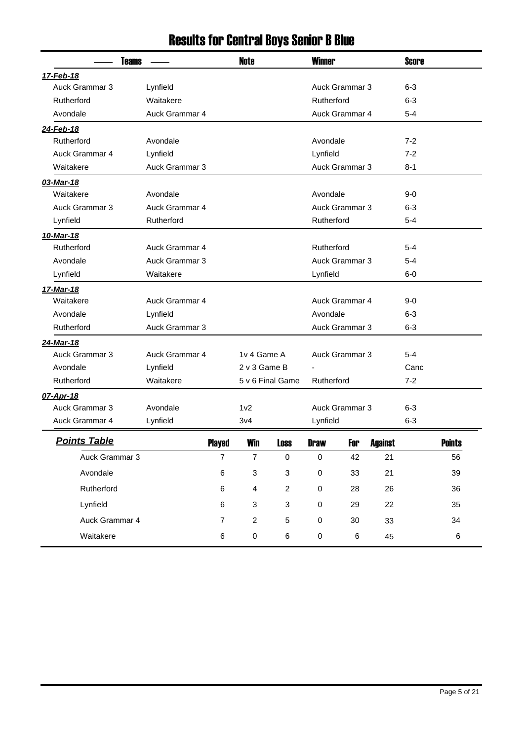| <b>Teams</b>        |                |                | <b>Note</b>      |                  | <b>Winner</b> |                |                | <b>Score</b> |               |
|---------------------|----------------|----------------|------------------|------------------|---------------|----------------|----------------|--------------|---------------|
| 17-Feb-18           |                |                |                  |                  |               |                |                |              |               |
| Auck Grammar 3      | Lynfield       |                |                  |                  |               | Auck Grammar 3 |                | $6 - 3$      |               |
| Rutherford          | Waitakere      |                |                  |                  | Rutherford    |                |                | 6-3          |               |
| Avondale            | Auck Grammar 4 |                |                  |                  |               | Auck Grammar 4 |                | 5-4          |               |
| 24-Feb-18           |                |                |                  |                  |               |                |                |              |               |
| Rutherford          | Avondale       |                |                  |                  | Avondale      |                |                | $7 - 2$      |               |
| Auck Grammar 4      | Lynfield       |                |                  |                  | Lynfield      |                |                | $7 - 2$      |               |
| Waitakere           | Auck Grammar 3 |                |                  |                  |               | Auck Grammar 3 |                | $8 - 1$      |               |
| 03-Mar-18           |                |                |                  |                  |               |                |                |              |               |
| Waitakere           | Avondale       |                |                  |                  | Avondale      |                |                | 9-0          |               |
| Auck Grammar 3      | Auck Grammar 4 |                |                  |                  |               | Auck Grammar 3 |                | 6-3          |               |
| Lynfield            | Rutherford     |                |                  |                  | Rutherford    |                |                | $5 - 4$      |               |
| 10-Mar-18           |                |                |                  |                  |               |                |                |              |               |
| Rutherford          | Auck Grammar 4 |                |                  |                  | Rutherford    |                |                | 5-4          |               |
| Avondale            | Auck Grammar 3 |                |                  |                  |               | Auck Grammar 3 |                | 5-4          |               |
| Lynfield            | Waitakere      |                |                  |                  | Lynfield      |                |                | 6-0          |               |
| 17-Mar-18           |                |                |                  |                  |               |                |                |              |               |
| Waitakere           | Auck Grammar 4 |                |                  |                  |               | Auck Grammar 4 |                | 9-0          |               |
| Avondale            | Lynfield       |                |                  |                  | Avondale      |                |                | $6 - 3$      |               |
| Rutherford          | Auck Grammar 3 |                |                  |                  |               | Auck Grammar 3 |                | $6 - 3$      |               |
| 24-Mar-18           |                |                |                  |                  |               |                |                |              |               |
| Auck Grammar 3      | Auck Grammar 4 |                | 1v 4 Game A      |                  |               | Auck Grammar 3 |                | $5 - 4$      |               |
| Avondale            | Lynfield       |                | 2 v 3 Game B     |                  |               |                |                | Canc         |               |
| Rutherford          | Waitakere      |                |                  | 5 v 6 Final Game | Rutherford    |                |                | $7 - 2$      |               |
| 07-Apr-18           |                |                |                  |                  |               |                |                |              |               |
| Auck Grammar 3      | Avondale       |                | 1 <sub>v2</sub>  |                  |               | Auck Grammar 3 |                | $6 - 3$      |               |
| Auck Grammar 4      | Lynfield       |                | 3v4              |                  | Lynfield      |                |                | $6 - 3$      |               |
| <b>Points Table</b> |                | <b>Played</b>  | <b>Win</b>       | Loss             | <b>Draw</b>   | For            | <b>Auainst</b> |              | <b>Points</b> |
| Auck Grammar 3      |                | $\overline{7}$ | $\boldsymbol{7}$ | $\pmb{0}$        | $\pmb{0}$     | 42             | 21             |              | 56            |
| Avondale            |                | $\,6\,$        | 3                | 3                | $\pmb{0}$     | 33             | 21             |              | 39            |
| Rutherford          |                | 6              | 4                | $\overline{c}$   | $\pmb{0}$     | 28             | 26             |              | 36            |
| Lynfield            |                | 6              | 3                | 3                | $\pmb{0}$     | 29             | 22             |              | 35            |
| Auck Grammar 4      |                | $\overline{7}$ | $\boldsymbol{2}$ | 5                | $\pmb{0}$     | 30             | 33             |              | 34            |
| Waitakere           |                | 6              | $\pmb{0}$        | 6                | $\pmb{0}$     | $\,6$          | 45             |              | 6             |

## Results for Central Boys Senior B Blue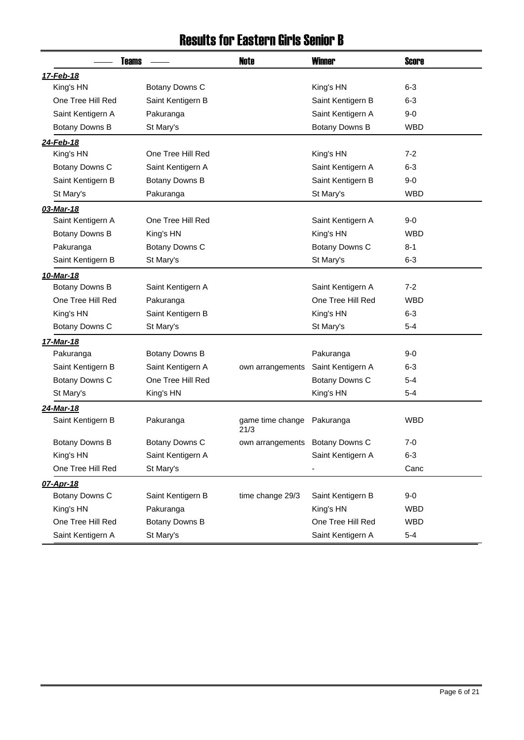#### Results for Eastern Girls Senior B

| <b>Teams</b>      |                   | <b>Note</b>                     | <b>Winner</b>     | <b>Score</b> |
|-------------------|-------------------|---------------------------------|-------------------|--------------|
| 17-Feb-18         |                   |                                 |                   |              |
| King's HN         | Botany Downs C    |                                 | King's HN         | $6 - 3$      |
| One Tree Hill Red | Saint Kentigern B |                                 | Saint Kentigern B | $6 - 3$      |
| Saint Kentigern A | Pakuranga         |                                 | Saint Kentigern A | $9-0$        |
| Botany Downs B    | St Mary's         |                                 | Botany Downs B    | <b>WBD</b>   |
| 24-Feb-18         |                   |                                 |                   |              |
| King's HN         | One Tree Hill Red |                                 | King's HN         | $7 - 2$      |
| Botany Downs C    | Saint Kentigern A |                                 | Saint Kentigern A | $6 - 3$      |
| Saint Kentigern B | Botany Downs B    |                                 | Saint Kentigern B | $9-0$        |
| St Mary's         | Pakuranga         |                                 | St Mary's         | <b>WBD</b>   |
| 03-Mar-18         |                   |                                 |                   |              |
| Saint Kentigern A | One Tree Hill Red |                                 | Saint Kentigern A | $9-0$        |
| Botany Downs B    | King's HN         |                                 | King's HN         | <b>WBD</b>   |
| Pakuranga         | Botany Downs C    |                                 | Botany Downs C    | $8 - 1$      |
| Saint Kentigern B | St Mary's         |                                 | St Mary's         | $6 - 3$      |
| 10-Mar-18         |                   |                                 |                   |              |
| Botany Downs B    | Saint Kentigern A |                                 | Saint Kentigern A | $7 - 2$      |
| One Tree Hill Red | Pakuranga         |                                 | One Tree Hill Red | <b>WBD</b>   |
| King's HN         | Saint Kentigern B |                                 | King's HN         | $6 - 3$      |
| Botany Downs C    | St Mary's         |                                 | St Mary's         | $5 - 4$      |
| 17-Mar-18         |                   |                                 |                   |              |
| Pakuranga         | Botany Downs B    |                                 | Pakuranga         | $9-0$        |
| Saint Kentigern B | Saint Kentigern A | own arrangements                | Saint Kentigern A | $6 - 3$      |
| Botany Downs C    | One Tree Hill Red |                                 | Botany Downs C    | $5 - 4$      |
| St Mary's         | King's HN         |                                 | King's HN         | $5 - 4$      |
| 24-Mar-18         |                   |                                 |                   |              |
| Saint Kentigern B | Pakuranga         | game time change<br>21/3        | Pakuranga         | <b>WBD</b>   |
| Botany Downs B    | Botany Downs C    | own arrangements Botany Downs C |                   | 7-0          |
| King's HN         | Saint Kentigern A |                                 | Saint Kentigern A | $6 - 3$      |
| One Tree Hill Red | St Mary's         |                                 |                   | Canc         |
| 07-Apr-18         |                   |                                 |                   |              |
| Botany Downs C    | Saint Kentigern B | time change 29/3                | Saint Kentigern B | $9-0$        |
| King's HN         | Pakuranga         |                                 | King's HN         | <b>WBD</b>   |
| One Tree Hill Red | Botany Downs B    |                                 | One Tree Hill Red | <b>WBD</b>   |
| Saint Kentigern A | St Mary's         |                                 | Saint Kentigern A | $5 - 4$      |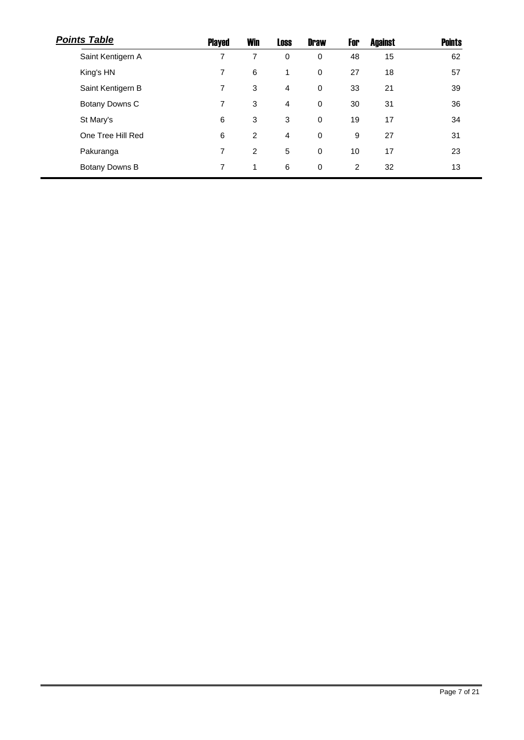| <b>Points Table</b> | Played | <b>Win</b>     | <b>Loss</b>    | <b>Draw</b> | For | <b>Against</b> | <b>Points</b> |
|---------------------|--------|----------------|----------------|-------------|-----|----------------|---------------|
| Saint Kentigern A   | 7      | 7              | $\mathbf 0$    | 0           | 48  | 15             | 62            |
| King's HN           | 7      | 6              | 1              | 0           | 27  | 18             | 57            |
| Saint Kentigern B   | 7      | 3              | 4              | 0           | 33  | 21             | 39            |
| Botany Downs C      | 7      | 3              | 4              | $\mathbf 0$ | 30  | 31             | 36            |
| St Mary's           | 6      | 3              | 3              | $\mathbf 0$ | 19  | 17             | 34            |
| One Tree Hill Red   | 6      | $\overline{2}$ | $\overline{4}$ | 0           | 9   | 27             | 31            |
| Pakuranga           | 7      | $\overline{2}$ | 5              | 0           | 10  | 17             | 23            |
| Botany Downs B      | 7      | 1              | 6              | 0           | 2   | 32             | 13            |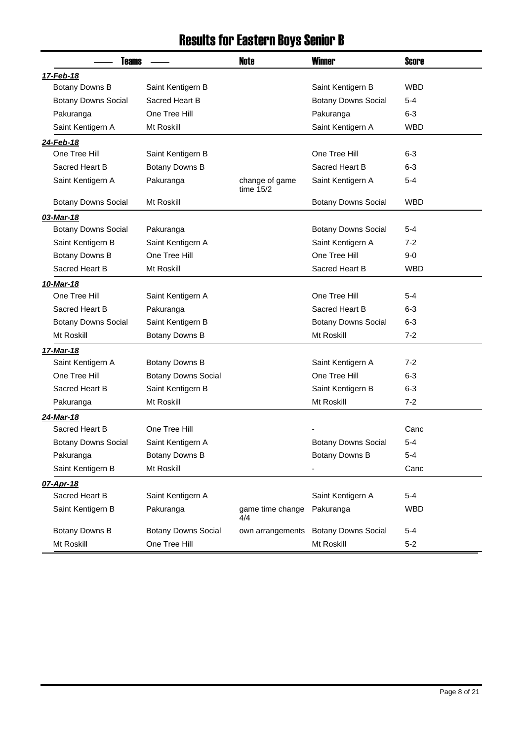## Results for Eastern Boys Senior B

| <b>Teams</b>               |                            | <b>Note</b>                   | <b>Winner</b>                        | <b>Score</b> |
|----------------------------|----------------------------|-------------------------------|--------------------------------------|--------------|
| 17-Feb-18                  |                            |                               |                                      |              |
| Botany Downs B             | Saint Kentigern B          |                               | Saint Kentigern B                    | <b>WBD</b>   |
| <b>Botany Downs Social</b> | Sacred Heart B             |                               | <b>Botany Downs Social</b>           | 5-4          |
| Pakuranga                  | One Tree Hill              |                               | Pakuranga                            | $6-3$        |
| Saint Kentigern A          | Mt Roskill                 |                               | Saint Kentigern A                    | <b>WBD</b>   |
| 24-Feb-18                  |                            |                               |                                      |              |
| One Tree Hill              | Saint Kentigern B          |                               | One Tree Hill                        | 6-3          |
| Sacred Heart B             | Botany Downs B             |                               | Sacred Heart B                       | 6-3          |
| Saint Kentigern A          | Pakuranga                  | change of game<br>time $15/2$ | Saint Kentigern A                    | $5 - 4$      |
| <b>Botany Downs Social</b> | Mt Roskill                 |                               | <b>Botany Downs Social</b>           | <b>WBD</b>   |
| 03-Mar-18                  |                            |                               |                                      |              |
| <b>Botany Downs Social</b> | Pakuranga                  |                               | <b>Botany Downs Social</b>           | 5-4          |
| Saint Kentigern B          | Saint Kentigern A          |                               | Saint Kentigern A                    | 7-2          |
| Botany Downs B             | One Tree Hill              |                               | One Tree Hill                        | $9-0$        |
| Sacred Heart B             | Mt Roskill                 |                               | Sacred Heart B                       | <b>WBD</b>   |
| 10-Mar-18                  |                            |                               |                                      |              |
| One Tree Hill              | Saint Kentigern A          |                               | One Tree Hill                        | 5-4          |
| Sacred Heart B             | Pakuranga                  |                               | Sacred Heart B                       | $6 - 3$      |
| <b>Botany Downs Social</b> | Saint Kentigern B          |                               | <b>Botany Downs Social</b>           | $6 - 3$      |
| Mt Roskill                 | Botany Downs B             |                               | Mt Roskill                           | $7 - 2$      |
| 17-Mar-18                  |                            |                               |                                      |              |
| Saint Kentigern A          | Botany Downs B             |                               | Saint Kentigern A                    | 7-2          |
| One Tree Hill              | <b>Botany Downs Social</b> |                               | One Tree Hill                        | $6 - 3$      |
| Sacred Heart B             | Saint Kentigern B          |                               | Saint Kentigern B                    | $6-3$        |
| Pakuranga                  | Mt Roskill                 |                               | Mt Roskill                           | $7 - 2$      |
| 24-Mar-18                  |                            |                               |                                      |              |
| Sacred Heart B             | One Tree Hill              |                               |                                      | Canc         |
| <b>Botany Downs Social</b> | Saint Kentigern A          |                               | <b>Botany Downs Social</b>           | $5 - 4$      |
| Pakuranga                  | Botany Downs B             |                               | Botany Downs B                       | $5-4$        |
| Saint Kentigern B          | Mt Roskill                 |                               |                                      | Canc         |
| 07-Apr-18                  |                            |                               |                                      |              |
| Sacred Heart B             | Saint Kentigern A          |                               | Saint Kentigern A                    | $5 - 4$      |
| Saint Kentigern B          | Pakuranga                  | game time change<br>4/4       | Pakuranga                            | <b>WBD</b>   |
| Botany Downs B             | <b>Botany Downs Social</b> |                               | own arrangements Botany Downs Social | $5 - 4$      |
| Mt Roskill                 | One Tree Hill              |                               | Mt Roskill                           | $5-2$        |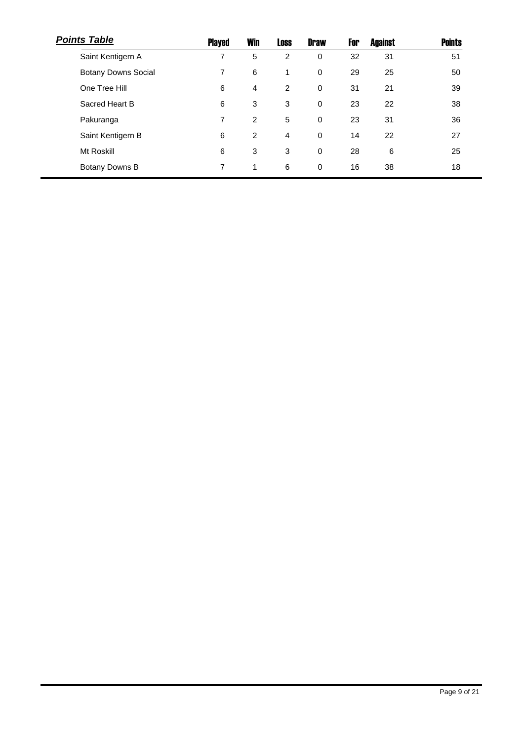| <b>Points Table</b>        | Played | <b>Win</b>     | <b>Loss</b>    | <b>Draw</b> | For | <b>Against</b> | <b>Points</b> |
|----------------------------|--------|----------------|----------------|-------------|-----|----------------|---------------|
| Saint Kentigern A          | 7      | 5              | $\overline{2}$ | 0           | 32  | 31             | 51            |
| <b>Botany Downs Social</b> | 7      | 6              | 1              | $\mathbf 0$ | 29  | 25             | 50            |
| One Tree Hill              | 6      | $\overline{4}$ | 2              | $\mathbf 0$ | 31  | 21             | 39            |
| Sacred Heart B             | 6      | 3              | 3              | $\mathbf 0$ | 23  | 22             | 38            |
| Pakuranga                  | 7      | $\overline{2}$ | 5              | $\mathbf 0$ | 23  | 31             | 36            |
| Saint Kentigern B          | 6      | $\overline{2}$ | 4              | $\mathbf 0$ | 14  | 22             | 27            |
| Mt Roskill                 | 6      | 3              | 3              | $\mathbf 0$ | 28  | 6              | 25            |
| Botany Downs B             | 7      | 1              | 6              | $\mathbf 0$ | 16  | 38             | 18            |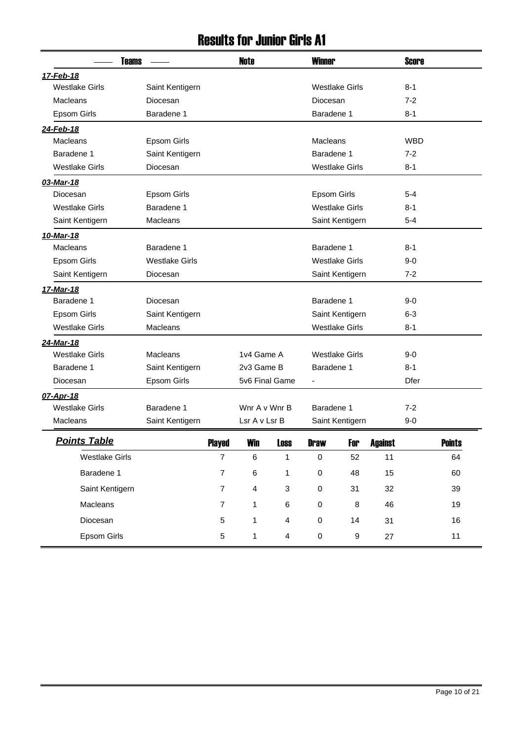#### Results for Junior Girls A1

| <b>Teams</b>          |                       |                | <b>Note</b>              |             | <b>Winner</b>            |                       | <b>Score</b>   |            |               |
|-----------------------|-----------------------|----------------|--------------------------|-------------|--------------------------|-----------------------|----------------|------------|---------------|
| 17-Feb-18             |                       |                |                          |             |                          |                       |                |            |               |
| <b>Westlake Girls</b> | Saint Kentigern       |                |                          |             |                          | <b>Westlake Girls</b> |                | $8 - 1$    |               |
| <b>Macleans</b>       | Diocesan              |                |                          |             | Diocesan                 |                       |                | $7 - 2$    |               |
| Epsom Girls           | Baradene 1            |                |                          |             | Baradene 1               |                       |                | $8 - 1$    |               |
| 24-Feb-18             |                       |                |                          |             |                          |                       |                |            |               |
| <b>Macleans</b>       | <b>Epsom Girls</b>    |                |                          |             | Macleans                 |                       |                | <b>WBD</b> |               |
| Baradene 1            | Saint Kentigern       |                |                          |             | Baradene 1               |                       |                | $7 - 2$    |               |
| <b>Westlake Girls</b> | Diocesan              |                |                          |             |                          | <b>Westlake Girls</b> |                | $8 - 1$    |               |
| 03-Mar-18             |                       |                |                          |             |                          |                       |                |            |               |
| Diocesan              | <b>Epsom Girls</b>    |                |                          |             | Epsom Girls              |                       |                | $5 - 4$    |               |
| <b>Westlake Girls</b> | Baradene 1            |                |                          |             |                          | <b>Westlake Girls</b> |                | $8 - 1$    |               |
| Saint Kentigern       | Macleans              |                |                          |             |                          | Saint Kentigern       |                | 5-4        |               |
| 10-Mar-18             |                       |                |                          |             |                          |                       |                |            |               |
| <b>Macleans</b>       | Baradene 1            |                |                          |             | Baradene 1               |                       |                | $8 - 1$    |               |
| Epsom Girls           | <b>Westlake Girls</b> |                |                          |             | <b>Westlake Girls</b>    |                       |                | $9-0$      |               |
| Saint Kentigern       | Diocesan              |                |                          |             |                          | Saint Kentigern       |                | $7-2$      |               |
| 17-Mar-18             |                       |                |                          |             |                          |                       |                |            |               |
| Baradene 1            | Diocesan              |                |                          |             | Baradene 1               |                       |                | $9-0$      |               |
| Epsom Girls           | Saint Kentigern       |                |                          |             |                          | Saint Kentigern       |                | $6 - 3$    |               |
| <b>Westlake Girls</b> | Macleans              |                |                          |             | <b>Westlake Girls</b>    |                       |                | $8 - 1$    |               |
| 24-Mar-18             |                       |                |                          |             |                          |                       |                |            |               |
| <b>Westlake Girls</b> | <b>Macleans</b>       |                | 1v4 Game A               |             |                          | <b>Westlake Girls</b> |                | $9-0$      |               |
| Baradene 1            | Saint Kentigern       |                | 2v3 Game B               |             | Baradene 1               |                       |                | $8 - 1$    |               |
| Diocesan              | Epsom Girls           |                | 5v6 Final Game           |             | $\overline{\phantom{a}}$ |                       |                | Dfer       |               |
| 07-Apr-18             |                       |                |                          |             |                          |                       |                |            |               |
| <b>Westlake Girls</b> | Baradene 1            |                | Wnr A v Wnr B            |             | Baradene 1               |                       |                | $7 - 2$    |               |
| Macleans              | Saint Kentigern       |                | Lsr A v Lsr B            |             |                          | Saint Kentigern       |                | $9-0$      |               |
| <b>Points Table</b>   |                       | <b>Played</b>  | <b>Win</b>               | Loss        | <b>Draw</b>              | For                   | <b>Against</b> |            | <b>Points</b> |
| <b>Westlake Girls</b> |                       | $\overline{7}$ | $\,6$                    | $\mathbf 1$ | $\pmb{0}$                | 52                    | 11             |            | 64            |
| Baradene 1            |                       | $\overline{7}$ | $\,6$                    | 1           | $\pmb{0}$                | 48                    | 15             |            | 60            |
| Saint Kentigern       |                       | $\overline{7}$ | $\overline{\mathbf{4}}$  | 3           | $\pmb{0}$                | 31                    | 32             |            | 39            |
| Macleans              |                       | $\overline{7}$ | 6<br>$\pmb{0}$<br>8<br>1 |             |                          | 46                    |                | 19         |               |
| Diocesan              |                       | 5              | $\pmb{0}$<br>1<br>4      |             |                          | 14                    | 31             |            | 16            |
| Epsom Girls           |                       | 5              | 1                        | 4           | $\pmb{0}$                | $\boldsymbol{9}$      | 27             |            | 11            |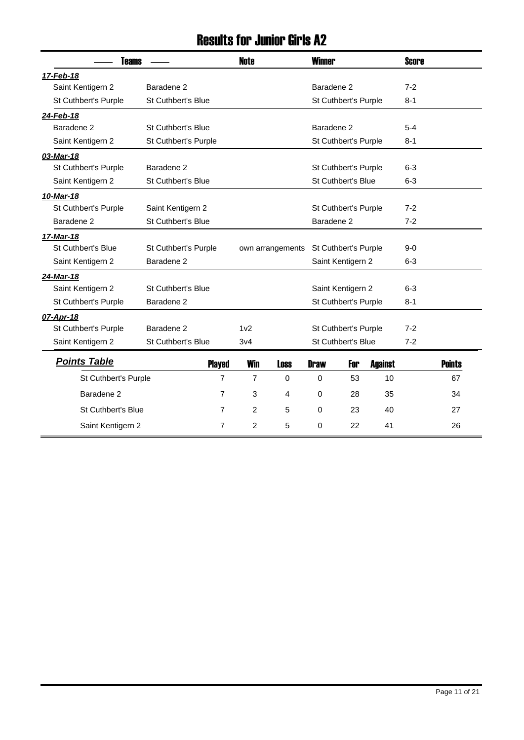#### Results for Junior Girls A2

| <b>Teams</b>              |                           |                | <b>Note</b>     |                  | <b>Winner</b>         |                           |                | <b>Score</b> |               |
|---------------------------|---------------------------|----------------|-----------------|------------------|-----------------------|---------------------------|----------------|--------------|---------------|
| 17-Feb-18                 |                           |                |                 |                  |                       |                           |                |              |               |
| Saint Kentigern 2         | Baradene <sub>2</sub>     |                |                 |                  | Baradene <sub>2</sub> |                           |                | $7-2$        |               |
| St Cuthbert's Purple      | <b>St Cuthbert's Blue</b> |                |                 |                  |                       | St Cuthbert's Purple      |                | $8 - 1$      |               |
| 24-Feb-18                 |                           |                |                 |                  |                       |                           |                |              |               |
| Baradene <sub>2</sub>     | <b>St Cuthbert's Blue</b> |                |                 |                  | Baradene <sub>2</sub> |                           |                | $5 - 4$      |               |
| Saint Kentigern 2         | St Cuthbert's Purple      |                |                 |                  |                       | St Cuthbert's Purple      |                | $8 - 1$      |               |
| 03-Mar-18                 |                           |                |                 |                  |                       |                           |                |              |               |
| St Cuthbert's Purple      | Baradene <sub>2</sub>     |                |                 |                  |                       | St Cuthbert's Purple      |                | $6 - 3$      |               |
| Saint Kentigern 2         | <b>St Cuthbert's Blue</b> |                |                 |                  |                       | <b>St Cuthbert's Blue</b> |                | $6 - 3$      |               |
| 10-Mar-18                 |                           |                |                 |                  |                       |                           |                |              |               |
| St Cuthbert's Purple      | Saint Kentigern 2         |                |                 |                  |                       | St Cuthbert's Purple      |                | $7 - 2$      |               |
| Baradene <sub>2</sub>     | St Cuthbert's Blue        |                |                 |                  | Baradene <sub>2</sub> |                           |                | $7 - 2$      |               |
| 17-Mar-18                 |                           |                |                 |                  |                       |                           |                |              |               |
| <b>St Cuthbert's Blue</b> | St Cuthbert's Purple      |                |                 | own arrangements |                       | St Cuthbert's Purple      |                | $9-0$        |               |
| Saint Kentigern 2         | Baradene <sub>2</sub>     |                |                 |                  |                       | Saint Kentigern 2         |                | $6 - 3$      |               |
| 24-Mar-18                 |                           |                |                 |                  |                       |                           |                |              |               |
| Saint Kentigern 2         | St Cuthbert's Blue        |                |                 |                  |                       | Saint Kentigern 2         |                | $6-3$        |               |
| St Cuthbert's Purple      | Baradene <sub>2</sub>     |                |                 |                  |                       | St Cuthbert's Purple      |                | $8 - 1$      |               |
| 07-Apr-18                 |                           |                |                 |                  |                       |                           |                |              |               |
| St Cuthbert's Purple      | Baradene <sub>2</sub>     |                | 1 <sub>v2</sub> |                  |                       | St Cuthbert's Purple      |                | $7 - 2$      |               |
| Saint Kentigern 2         | <b>St Cuthbert's Blue</b> |                | 3v4             |                  |                       | St Cuthbert's Blue        |                | $7 - 2$      |               |
| <b>Points Table</b>       |                           | <b>Played</b>  | <b>Win</b>      | <b>Loss</b>      | <b>Draw</b>           | For                       | <b>Against</b> |              | <b>Points</b> |
| St Cuthbert's Purple      |                           | $\overline{7}$ | $\overline{7}$  | $\Omega$         | $\Omega$              | 53                        | 10             |              | 67            |
| Baradene <sub>2</sub>     |                           | 7              | 3               | 4                | $\mathbf 0$           | 28                        | 35             |              | 34            |
|                           |                           |                |                 |                  |                       |                           |                |              |               |
| <b>St Cuthbert's Blue</b> |                           | 7              | $\overline{2}$  | 5                | $\mathbf 0$           | 23                        | 40             |              | 27            |
| Saint Kentigern 2         |                           | 7              | $\overline{2}$  | 5                | $\Omega$              | 22                        | 41             |              | 26            |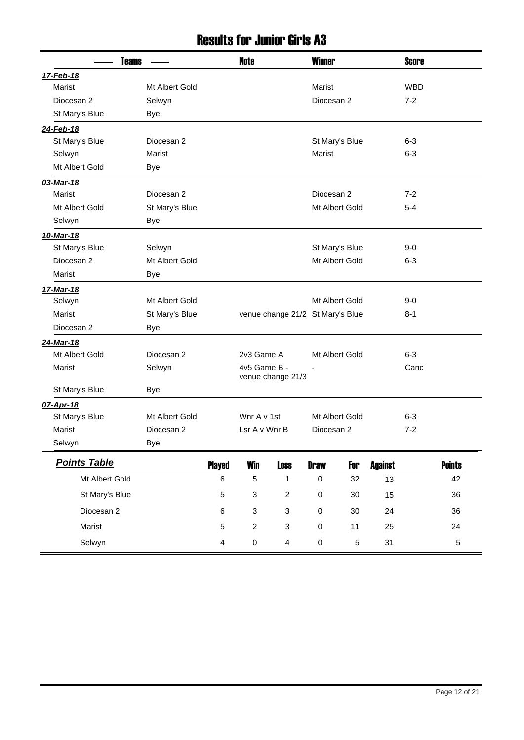#### Results for Junior Girls A3

| <b>Teams</b>        |                |                         | <b>Note</b>    |                                  | <b>Winner</b> |                |                | <b>Score</b> |               |
|---------------------|----------------|-------------------------|----------------|----------------------------------|---------------|----------------|----------------|--------------|---------------|
| 17-Feb-18           |                |                         |                |                                  |               |                |                |              |               |
| Marist              | Mt Albert Gold |                         |                |                                  | Marist        |                |                | <b>WBD</b>   |               |
| Diocesan 2          | Selwyn         |                         |                |                                  | Diocesan 2    |                |                | $7 - 2$      |               |
| St Mary's Blue      | <b>Bye</b>     |                         |                |                                  |               |                |                |              |               |
| 24-Feb-18           |                |                         |                |                                  |               |                |                |              |               |
| St Mary's Blue      | Diocesan 2     |                         |                |                                  |               | St Mary's Blue |                | $6 - 3$      |               |
| Selwyn              | Marist         |                         |                |                                  | Marist        |                |                | $6 - 3$      |               |
| Mt Albert Gold      | Bye            |                         |                |                                  |               |                |                |              |               |
| 03-Mar-18           |                |                         |                |                                  |               |                |                |              |               |
| Marist              | Diocesan 2     |                         |                |                                  | Diocesan 2    |                |                | $7 - 2$      |               |
| Mt Albert Gold      | St Mary's Blue |                         |                |                                  |               | Mt Albert Gold |                | $5 - 4$      |               |
| Selwyn              | Bye            |                         |                |                                  |               |                |                |              |               |
| 10-Mar-18           |                |                         |                |                                  |               |                |                |              |               |
| St Mary's Blue      | Selwyn         |                         |                |                                  |               | St Mary's Blue |                | $9-0$        |               |
| Diocesan 2          | Mt Albert Gold |                         |                |                                  |               | Mt Albert Gold |                | $6 - 3$      |               |
| Marist              | Bye            |                         |                |                                  |               |                |                |              |               |
| 17-Mar-18           |                |                         |                |                                  |               |                |                |              |               |
| Selwyn              | Mt Albert Gold |                         |                |                                  |               | Mt Albert Gold |                | $9 - 0$      |               |
| Marist              | St Mary's Blue |                         |                | venue change 21/2 St Mary's Blue |               |                |                | $8 - 1$      |               |
| Diocesan 2          | <b>Bye</b>     |                         |                |                                  |               |                |                |              |               |
| 24-Mar-18           |                |                         |                |                                  |               |                |                |              |               |
| Mt Albert Gold      | Diocesan 2     |                         | 2v3 Game A     |                                  |               | Mt Albert Gold |                | $6-3$        |               |
| Marist              | Selwyn         |                         | 4v5 Game B -   |                                  | ٠             |                |                | Canc         |               |
|                     |                |                         |                | venue change 21/3                |               |                |                |              |               |
| St Mary's Blue      | Bye            |                         |                |                                  |               |                |                |              |               |
| 07-Apr-18           |                |                         |                |                                  |               |                |                |              |               |
| St Mary's Blue      | Mt Albert Gold |                         | Wnr A v 1st    |                                  |               | Mt Albert Gold |                | $6 - 3$      |               |
| Marist              | Diocesan 2     |                         | Lsr A v Wnr B  |                                  | Diocesan 2    |                |                | $7-2$        |               |
| Selwyn              | Bye            |                         |                |                                  |               |                |                |              |               |
| <b>Points Table</b> |                | <b>Played</b>           | <b>Win</b>     | <b>Loss</b>                      | <b>Draw</b>   | For            | <b>Against</b> |              | <b>Points</b> |
| Mt Albert Gold      |                | 6                       | 5              | $\mathbf{1}$                     | $\pmb{0}$     | 32             | 13             |              | 42            |
| St Mary's Blue      |                | 5                       | 3              | $\overline{c}$                   | $\pmb{0}$     | 30             | 15             |              | 36            |
| Diocesan 2          |                | 6                       | 3              | $\sqrt{3}$                       | $\pmb{0}$     | 30             | 24             |              | 36            |
| Marist              |                | 5                       | $\overline{c}$ | $\sqrt{3}$                       | $\pmb{0}$     | 11             | 25             |              | 24            |
| Selwyn              |                | $\overline{\mathbf{4}}$ | $\pmb{0}$      | $\overline{4}$                   | $\pmb{0}$     | $\mathbf 5$    | 31             |              | 5             |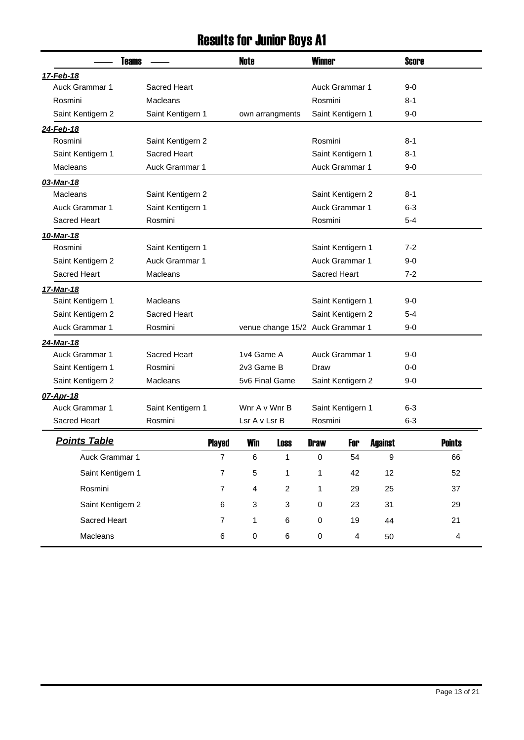## Results for Junior Boys A1

| <b>Teams</b>          |                       |                | <b>Winner</b><br>Note |                                  |              |                         |                  | <b>Score</b> |               |
|-----------------------|-----------------------|----------------|-----------------------|----------------------------------|--------------|-------------------------|------------------|--------------|---------------|
| 17-Feb-18             |                       |                |                       |                                  |              |                         |                  |              |               |
| <b>Auck Grammar 1</b> | Sacred Heart          |                |                       |                                  |              | Auck Grammar 1          |                  | 9-0          |               |
| Rosmini               | Macleans              |                |                       |                                  | Rosmini      |                         |                  | 8-1          |               |
| Saint Kentigern 2     | Saint Kentigern 1     |                |                       | own arrangments                  |              | Saint Kentigern 1       |                  | 9-0          |               |
| 24-Feb-18             |                       |                |                       |                                  |              |                         |                  |              |               |
| Rosmini               | Saint Kentigern 2     |                |                       |                                  | Rosmini      |                         |                  | 8-1          |               |
| Saint Kentigern 1     | <b>Sacred Heart</b>   |                |                       |                                  |              | Saint Kentigern 1       |                  | 8-1          |               |
| <b>Macleans</b>       | Auck Grammar 1        |                |                       |                                  |              | Auck Grammar 1          |                  | $9-0$        |               |
| 03-Mar-18             |                       |                |                       |                                  |              |                         |                  |              |               |
| <b>Macleans</b>       | Saint Kentigern 2     |                |                       |                                  |              | Saint Kentigern 2       |                  | 8-1          |               |
| <b>Auck Grammar 1</b> | Saint Kentigern 1     |                |                       |                                  |              | Auck Grammar 1          |                  | 6-3          |               |
| <b>Sacred Heart</b>   | Rosmini               |                |                       |                                  |              | Rosmini                 |                  |              |               |
| 10-Mar-18             |                       |                |                       |                                  |              |                         |                  |              |               |
| Rosmini               | Saint Kentigern 1     |                |                       |                                  |              | Saint Kentigern 1       |                  | $7-2$        |               |
| Saint Kentigern 2     | <b>Auck Grammar 1</b> |                |                       |                                  |              | Auck Grammar 1          |                  | $9-0$        |               |
| <b>Sacred Heart</b>   | Macleans              |                |                       |                                  | Sacred Heart |                         |                  | $7 - 2$      |               |
| <u>17-Mar-18</u>      |                       |                |                       |                                  |              |                         |                  |              |               |
| Saint Kentigern 1     | Macleans              |                |                       |                                  |              | Saint Kentigern 1       |                  | 9-0          |               |
| Saint Kentigern 2     | <b>Sacred Heart</b>   |                |                       |                                  |              | Saint Kentigern 2       |                  | $5 - 4$      |               |
| Auck Grammar 1        | Rosmini               |                |                       | venue change 15/2 Auck Grammar 1 |              |                         | 9-0              |              |               |
| 24-Mar-18             |                       |                |                       |                                  |              |                         |                  |              |               |
| <b>Auck Grammar 1</b> | Sacred Heart          |                | 1v4 Game A            |                                  |              | Auck Grammar 1          |                  | 9-0          |               |
| Saint Kentigern 1     | Rosmini               |                | 2v3 Game B            |                                  | Draw         |                         |                  | $0-0$        |               |
| Saint Kentigern 2     | Macleans              |                | 5v6 Final Game        |                                  |              | Saint Kentigern 2       |                  | 9-0          |               |
| 07-Apr-18             |                       |                |                       |                                  |              |                         |                  |              |               |
| <b>Auck Grammar 1</b> | Saint Kentigern 1     |                | Wnr A v Wnr B         |                                  |              | Saint Kentigern 1       |                  | 6-3          |               |
| Sacred Heart          | Rosmini               |                | Lsr A v Lsr B         |                                  | Rosmini      |                         |                  | $6 - 3$      |               |
| <b>Points Table</b>   |                       | <b>Played</b>  | <b>Win</b>            | Loss                             | <b>Nraw</b>  | For                     | <b>Against</b>   |              | <b>Points</b> |
| Auck Grammar 1        |                       | $\overline{7}$ | 6                     | $\mathbf{1}$                     | $\pmb{0}$    | 54                      | $\boldsymbol{9}$ |              | 66            |
| Saint Kentigern 1     |                       | $\overline{7}$ | 5                     | 1                                | 1            | 42                      | 12               |              | 52            |
| Rosmini               |                       | $\overline{7}$ | 4                     | $\overline{c}$                   | 1            | 29                      | 25               |              | 37            |
| Saint Kentigern 2     |                       | 6              | 3                     | $\mathbf{3}$                     | 0            | 23                      | 31               |              | 29            |
| Sacred Heart          |                       | $\overline{7}$ | 1                     | 6                                | 0            | 19                      | 44               |              | 21            |
| Macleans              |                       | 6              | $\pmb{0}$             | $\,6\,$                          | $\pmb{0}$    | $\overline{\mathbf{4}}$ | 50               |              | 4             |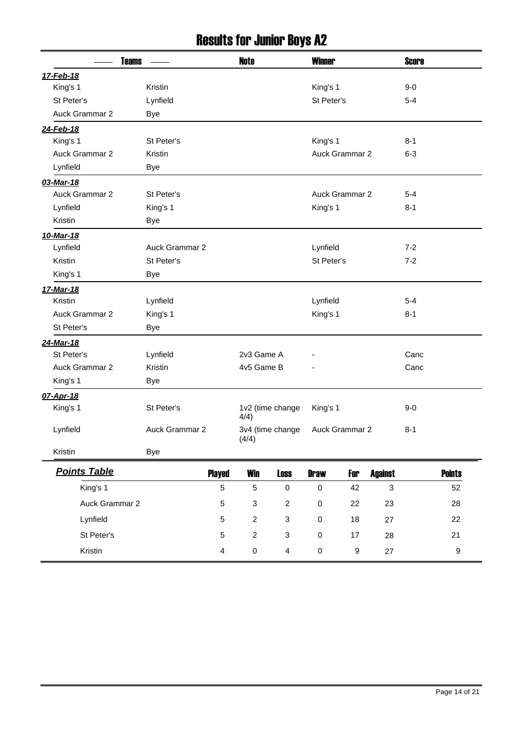## Results for Junior Boys A2

| <b>Teams</b>          |                         | <b>Note</b>               |                           |             | <b>Winner</b>         |                |         |                  |
|-----------------------|-------------------------|---------------------------|---------------------------|-------------|-----------------------|----------------|---------|------------------|
| 17-Feb-18             |                         |                           |                           |             |                       |                |         |                  |
| King's 1              | Kristin                 |                           |                           | King's 1    |                       |                | $9-0$   |                  |
| St Peter's            | Lynfield                |                           |                           | St Peter's  |                       |                | $5 - 4$ |                  |
| Auck Grammar 2        | <b>Bye</b>              |                           |                           |             |                       |                |         |                  |
| 24-Feb-18             |                         |                           |                           |             |                       |                |         |                  |
| King's 1              | St Peter's              |                           |                           | King's 1    |                       |                | $8 - 1$ |                  |
| Auck Grammar 2        | Kristin                 |                           |                           |             | Auck Grammar 2        |                | $6 - 3$ |                  |
| Lynfield              | Bye                     |                           |                           |             |                       |                |         |                  |
| 03-Mar-18             |                         |                           |                           |             |                       |                |         |                  |
| Auck Grammar 2        | St Peter's              |                           |                           |             | <b>Auck Grammar 2</b> |                | $5 - 4$ |                  |
| Lynfield              | King's 1                |                           |                           | King's 1    |                       |                | $8 - 1$ |                  |
| Kristin               | <b>Bye</b>              |                           |                           |             |                       |                |         |                  |
| 10-Mar-18             |                         |                           |                           |             |                       |                |         |                  |
| Lynfield              | Auck Grammar 2          |                           |                           | Lynfield    |                       |                | $7 - 2$ |                  |
| Kristin               | St Peter's              |                           |                           | St Peter's  |                       |                | $7 - 2$ |                  |
| King's 1              | Bye                     |                           |                           |             |                       |                |         |                  |
| 17-Mar-18             |                         |                           |                           |             |                       |                |         |                  |
| Kristin               | Lynfield                |                           |                           | Lynfield    |                       |                | $5 - 4$ |                  |
| Auck Grammar 2        | King's 1                |                           |                           | King's 1    |                       |                | $8 - 1$ |                  |
| St Peter's            | <b>Bye</b>              |                           |                           |             |                       |                |         |                  |
| 24-Mar-18             |                         |                           |                           |             |                       |                |         |                  |
| St Peter's            | Lynfield                | 2v3 Game A                |                           |             |                       |                | Canc    |                  |
| <b>Auck Grammar 2</b> | Kristin                 | 4v5 Game B                |                           |             |                       |                | Canc    |                  |
| King's 1              | Bye                     |                           |                           |             |                       |                |         |                  |
| 07-Apr-18             |                         |                           |                           |             |                       |                |         |                  |
| King's 1              | St Peter's              | 4/4)                      | 1v2 (time change          | King's 1    |                       |                | $9-0$   |                  |
| Lynfield              | Auck Grammar 2          | (4/4)                     | 3v4 (time change          |             | Auck Grammar 2        |                | $8 - 1$ |                  |
| Kristin               | <b>Bye</b>              |                           |                           |             |                       |                |         |                  |
| <b>Points Table</b>   | <b>Played</b>           | <b>Win</b>                | <b>Loss</b>               | <b>Draw</b> | For                   | <b>Against</b> |         | <b>Points</b>    |
| King's 1              | $\overline{5}$          | $\sqrt{5}$                | $\pmb{0}$                 | $\pmb{0}$   | 42                    | $\mathbf{3}$   |         | 52               |
| Auck Grammar 2        | $\sqrt{5}$              | $\ensuremath{\mathsf{3}}$ | $\overline{c}$            | $\pmb{0}$   | 22                    | 23             |         | 28               |
| Lynfield              | $\sqrt{5}$              | $\boldsymbol{2}$          | $\ensuremath{\mathsf{3}}$ | $\pmb{0}$   | 18                    | 27             |         | 22               |
| St Peter's            | $\overline{5}$          | $\boldsymbol{2}$          | $\ensuremath{\mathsf{3}}$ | $\pmb{0}$   | 17                    | 28             |         | 21               |
| Kristin               | $\overline{\mathbf{4}}$ | $\mathbf 0$               | $\overline{4}$            | $\pmb{0}$   | 9                     | 27             |         | $\boldsymbol{9}$ |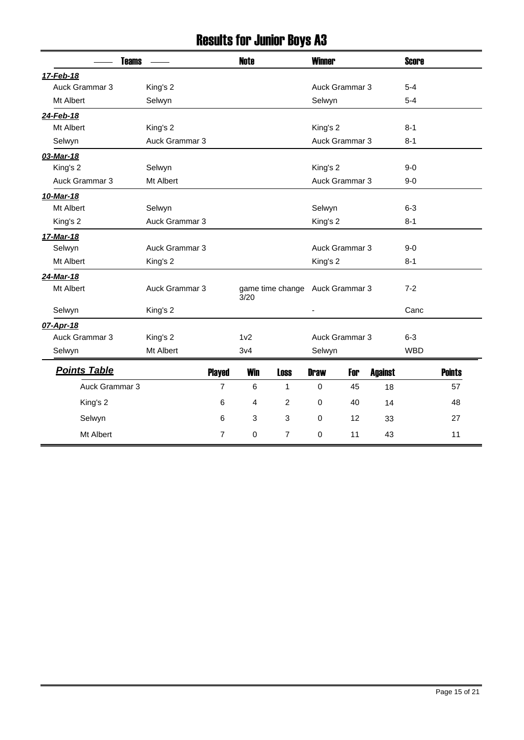## Results for Junior Boys A3

| <b>Teams</b>        |                | <b>Note</b>      |                                 | <b>Winner</b> |                |                | <b>Score</b> |               |
|---------------------|----------------|------------------|---------------------------------|---------------|----------------|----------------|--------------|---------------|
| 17-Feb-18           |                |                  |                                 |               |                |                |              |               |
| Auck Grammar 3      | King's 2       |                  |                                 |               | Auck Grammar 3 |                | $5-4$        |               |
| Mt Albert           | Selwyn         |                  |                                 | Selwyn        |                |                | $5 - 4$      |               |
| 24-Feb-18           |                |                  |                                 |               |                |                |              |               |
| Mt Albert           | King's 2       |                  |                                 | King's 2      |                |                | $8 - 1$      |               |
| Selwyn              | Auck Grammar 3 |                  |                                 |               | Auck Grammar 3 |                | $8 - 1$      |               |
| 03-Mar-18           |                |                  |                                 |               |                |                |              |               |
| King's 2            | Selwyn         |                  |                                 | King's 2      |                |                | $9 - 0$      |               |
| Auck Grammar 3      | Mt Albert      |                  |                                 |               | Auck Grammar 3 |                | $9-0$        |               |
| 10-Mar-18           |                |                  |                                 |               |                |                |              |               |
| Mt Albert           | Selwyn         |                  |                                 | Selwyn        |                |                | $6 - 3$      |               |
| King's 2            | Auck Grammar 3 |                  |                                 | King's 2      |                |                | $8 - 1$      |               |
| 17-Mar-18           |                |                  |                                 |               |                |                |              |               |
| Selwyn              | Auck Grammar 3 |                  |                                 |               | Auck Grammar 3 |                | $9 - 0$      |               |
| Mt Albert           | King's 2       |                  |                                 | King's 2      |                |                | $8 - 1$      |               |
| 24-Mar-18           |                |                  |                                 |               |                |                |              |               |
| Mt Albert           | Auck Grammar 3 | 3/20             | game time change Auck Grammar 3 |               |                |                | $7 - 2$      |               |
| Selwyn              | King's 2       |                  |                                 |               |                |                | Canc         |               |
| 07-Apr-18           |                |                  |                                 |               |                |                |              |               |
| Auck Grammar 3      | King's 2       | 1 <sub>v2</sub>  |                                 |               | Auck Grammar 3 |                | $6 - 3$      |               |
| Selwyn              | Mt Albert      | 3 <sub>v</sub> 4 |                                 | Selwyn        |                |                | <b>WBD</b>   |               |
| <b>Points Table</b> | <b>Played</b>  | <b>Win</b>       | <b>Loss</b>                     | <b>Draw</b>   | For            | <b>Against</b> |              | <b>Points</b> |
| Auck Grammar 3      | $\overline{7}$ | 6                | 1                               | 0             | 45             | 18             |              | 57            |
| King's 2            | 6              | 4                | 2                               | $\mathbf 0$   | 40             | 14             |              | 48            |
| Selwyn              | 6              | 3                | 3                               | $\mathbf 0$   | 12             | 33             |              | 27            |
| Mt Albert           | 7              | 0                | $\overline{7}$                  | $\mathbf 0$   | 11             | 43             |              | 11            |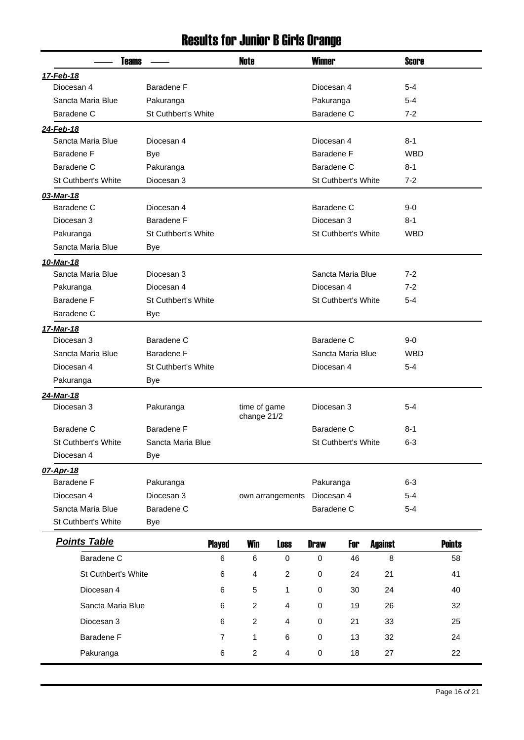#### Results for Junior B Girls Orange

| <b>Teams</b>               |                            |                | Note                        |                  | <b>Winner</b>              |                            |                | <b>Score</b> |               |
|----------------------------|----------------------------|----------------|-----------------------------|------------------|----------------------------|----------------------------|----------------|--------------|---------------|
| 17-Feb-18                  |                            |                |                             |                  |                            |                            |                |              |               |
| Diocesan 4                 | Baradene F                 |                |                             |                  | Diocesan 4                 |                            |                | $5 - 4$      |               |
| Sancta Maria Blue          | Pakuranga                  |                |                             |                  | Pakuranga                  |                            |                | $5 - 4$      |               |
| Baradene C                 | <b>St Cuthbert's White</b> |                |                             |                  | Baradene C                 |                            |                | $7 - 2$      |               |
| 24-Feb-18                  |                            |                |                             |                  |                            |                            |                |              |               |
| Sancta Maria Blue          | Diocesan 4                 |                |                             |                  | Diocesan 4                 |                            |                | 8-1          |               |
| Baradene F                 | <b>Bye</b>                 |                |                             |                  | Baradene F                 |                            |                | <b>WBD</b>   |               |
| Baradene C                 | Pakuranga                  |                |                             |                  | Baradene C                 |                            |                | 8-1          |               |
| <b>St Cuthbert's White</b> | Diocesan 3                 |                |                             |                  |                            | St Cuthbert's White        |                | $7-2$        |               |
| 03-Mar-18                  |                            |                |                             |                  |                            |                            |                |              |               |
| Baradene C                 | Diocesan 4                 |                |                             |                  | Baradene C                 |                            |                | $9-0$        |               |
| Diocesan 3                 | Baradene F                 |                |                             |                  | Diocesan 3                 |                            |                | $8 - 1$      |               |
| Pakuranga                  | <b>St Cuthbert's White</b> |                |                             |                  |                            | <b>St Cuthbert's White</b> |                | <b>WBD</b>   |               |
| Sancta Maria Blue          | Bye                        |                |                             |                  |                            |                            |                |              |               |
| 10-Mar-18                  |                            |                |                             |                  |                            |                            |                |              |               |
| Sancta Maria Blue          | Diocesan 3                 |                |                             |                  |                            | Sancta Maria Blue          |                | $7-2$        |               |
| Pakuranga                  | Diocesan 4                 |                |                             |                  | Diocesan 4                 |                            |                | $7-2$        |               |
| Baradene F                 | St Cuthbert's White        |                |                             |                  | <b>St Cuthbert's White</b> |                            |                | $5 - 4$      |               |
| Baradene C                 | Bye                        |                |                             |                  |                            |                            |                |              |               |
| 17-Mar-18                  |                            |                |                             |                  |                            |                            |                |              |               |
| Diocesan 3                 | Baradene C                 |                |                             |                  | Baradene C                 |                            |                | $9-0$        |               |
| Sancta Maria Blue          | Baradene F                 |                |                             |                  |                            | Sancta Maria Blue          |                | <b>WBD</b>   |               |
| Diocesan 4                 | St Cuthbert's White        |                |                             |                  | Diocesan 4                 |                            |                | $5 - 4$      |               |
| Pakuranga                  | Bye                        |                |                             |                  |                            |                            |                |              |               |
| 24-Mar-18                  |                            |                |                             |                  |                            |                            |                |              |               |
| Diocesan 3                 | Pakuranga                  |                | time of game<br>change 21/2 |                  | Diocesan 3                 |                            |                | $5 - 4$      |               |
| Baradene C                 | Baradene F                 |                |                             |                  | Baradene C                 |                            |                | 8-1          |               |
| <b>St Cuthbert's White</b> | Sancta Maria Blue          |                |                             |                  |                            | <b>St Cuthbert's White</b> |                | $6 - 3$      |               |
| Diocesan 4                 | Bye                        |                |                             |                  |                            |                            |                |              |               |
| 07-Apr-18                  |                            |                |                             |                  |                            |                            |                |              |               |
| <b>Baradene F</b>          | Pakuranga                  |                |                             |                  | Pakuranga                  |                            |                | $6 - 3$      |               |
| Diocesan 4                 | Diocesan 3                 |                |                             | own arrangements | Diocesan 4                 |                            |                | $5 - 4$      |               |
| Sancta Maria Blue          | Baradene C                 |                |                             |                  | Baradene C                 |                            |                | $5 - 4$      |               |
| St Cuthbert's White        | <b>Bye</b>                 |                |                             |                  |                            |                            |                |              |               |
| <b>Points Table</b>        |                            | <b>Played</b>  | <b>Win</b>                  | <b>Loss</b>      | <b>Draw</b>                | For                        | <b>Against</b> |              | <b>Points</b> |
| Baradene C                 |                            | 6              | 6                           | $\mathbf 0$      | $\mathbf 0$                | 46                         | 8              |              | 58            |
| St Cuthbert's White        |                            | 6              | 4                           | $\overline{c}$   | 0                          | 24                         | 21             |              | 41            |
| Diocesan 4                 |                            | 6              | 5                           | 1                | 0                          | 30                         | 24             |              | 40            |
| Sancta Maria Blue          |                            | 6              | $\overline{c}$              | 4                | 0                          | 19                         | 26             |              | 32            |
| Diocesan 3                 |                            | 6              | $\overline{c}$              | 4                | 0                          | 21                         | 33             |              | 25            |
| Baradene F                 |                            | $\overline{7}$ | 1                           | 6                | 0                          | 13                         | 32             |              | 24            |
| Pakuranga                  |                            | 6              | $\overline{c}$              | 4                | 0                          | 18                         | 27             |              | 22            |
|                            |                            |                |                             |                  |                            |                            |                |              |               |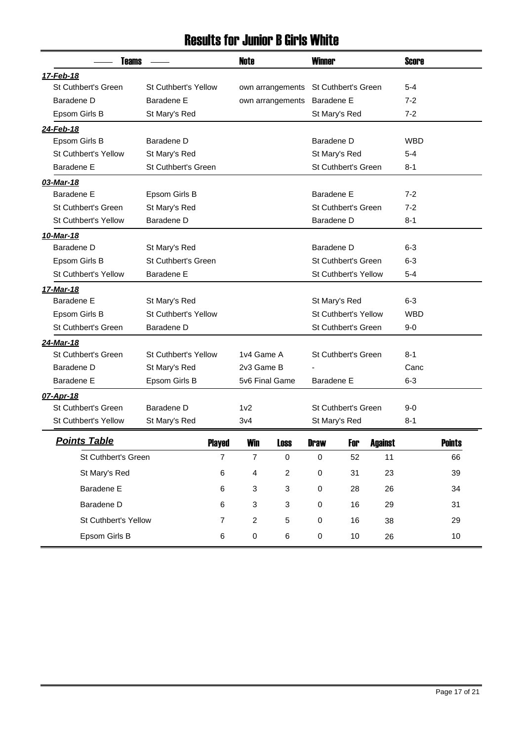#### Results for Junior B Girls White

| <b>Teams</b>                |                             |                | <b>Note</b>                       |                  | <b>Winner</b>              |                            |                      | Score      |               |
|-----------------------------|-----------------------------|----------------|-----------------------------------|------------------|----------------------------|----------------------------|----------------------|------------|---------------|
| 17-Feb-18                   |                             |                |                                   |                  |                            |                            |                      |            |               |
| <b>St Cuthbert's Green</b>  | <b>St Cuthbert's Yellow</b> |                |                                   | own arrangements |                            | <b>St Cuthbert's Green</b> |                      | $5 - 4$    |               |
| Baradene D                  | Baradene E                  |                |                                   | own arrangements | Baradene E                 |                            |                      | $7 - 2$    |               |
| Epsom Girls B               | St Mary's Red               |                |                                   |                  |                            | St Mary's Red              |                      | $7 - 2$    |               |
| 24-Feb-18                   |                             |                |                                   |                  |                            |                            |                      |            |               |
| Epsom Girls B               | Baradene D                  |                |                                   |                  | Baradene D                 |                            |                      | <b>WBD</b> |               |
| St Cuthbert's Yellow        | St Mary's Red               |                |                                   |                  |                            | St Mary's Red              |                      | $5 - 4$    |               |
| Baradene E                  | St Cuthbert's Green         |                |                                   |                  |                            | St Cuthbert's Green        |                      | $8 - 1$    |               |
| 03-Mar-18                   |                             |                |                                   |                  |                            |                            |                      |            |               |
| Baradene E                  | Epsom Girls B               |                |                                   |                  | Baradene E                 |                            |                      | $7-2$      |               |
| St Cuthbert's Green         | St Mary's Red               |                |                                   |                  | <b>St Cuthbert's Green</b> |                            | $7-2$                |            |               |
| <b>St Cuthbert's Yellow</b> | Baradene D                  |                |                                   |                  |                            | Baradene D                 |                      |            |               |
| 10-Mar-18                   |                             |                |                                   |                  |                            |                            |                      |            |               |
| Baradene D                  | St Mary's Red               |                |                                   | Baradene D       |                            |                            | $6 - 3$              |            |               |
| Epsom Girls B               | St Cuthbert's Green         |                |                                   |                  | St Cuthbert's Green        |                            | $6 - 3$              |            |               |
| St Cuthbert's Yellow        | Baradene E                  |                |                                   |                  |                            |                            | St Cuthbert's Yellow | $5 - 4$    |               |
| 17-Mar-18                   |                             |                |                                   |                  |                            |                            |                      |            |               |
| <b>Baradene E</b>           | St Mary's Red               |                |                                   |                  |                            | St Mary's Red              |                      | $6 - 3$    |               |
| Epsom Girls B               | St Cuthbert's Yellow        |                |                                   |                  |                            | St Cuthbert's Yellow       |                      | <b>WBD</b> |               |
| St Cuthbert's Green         | Baradene D                  |                |                                   |                  |                            | <b>St Cuthbert's Green</b> |                      | $9-0$      |               |
| <u>24-Mar-18</u>            |                             |                |                                   |                  |                            |                            |                      |            |               |
| <b>St Cuthbert's Green</b>  | <b>St Cuthbert's Yellow</b> |                | 1v4 Game A<br>St Cuthbert's Green |                  |                            |                            |                      | $8 - 1$    |               |
| Baradene D                  | St Mary's Red               |                | 2v3 Game B                        |                  |                            |                            |                      | Canc       |               |
| Baradene E                  | Epsom Girls B               |                | 5v6 Final Game                    |                  | Baradene E                 |                            |                      | $6 - 3$    |               |
| 07-Apr-18                   |                             |                |                                   |                  |                            |                            |                      |            |               |
| <b>St Cuthbert's Green</b>  | Baradene D                  |                | 1 <sub>v2</sub>                   |                  |                            | <b>St Cuthbert's Green</b> |                      | $9-0$      |               |
| St Cuthbert's Yellow        | St Mary's Red               |                | 3v4                               |                  |                            | St Mary's Red              |                      | $8 - 1$    |               |
| <b>Points Table</b>         |                             | <b>Played</b>  | <b>Win</b>                        | <b>nss</b>       | <b>Draw</b>                | For                        | <b>Against</b>       |            | <b>Points</b> |
| St Cuthbert's Green         |                             | $\overline{7}$ | $\boldsymbol{7}$                  | $\pmb{0}$        | $\pmb{0}$                  | 52                         | 11                   |            | 66            |
| St Mary's Red               |                             | 6              | 4                                 | $\overline{c}$   | $\pmb{0}$                  | 31                         | 23                   |            | 39            |
| Baradene E                  |                             | 6              | 3                                 | 3                | 0                          | 28                         | 26                   |            | 34            |
| Baradene D                  |                             | 6              | 3                                 | 3                | 0                          | 16                         | 29                   |            | 31            |
| St Cuthbert's Yellow        |                             | 7              | $\overline{a}$                    | 5                | $\pmb{0}$                  | 16                         | 38                   |            | 29            |
| Epsom Girls B               |                             | 6              | $\pmb{0}$                         | 6                | $\pmb{0}$                  | 10                         | 26                   |            | 10            |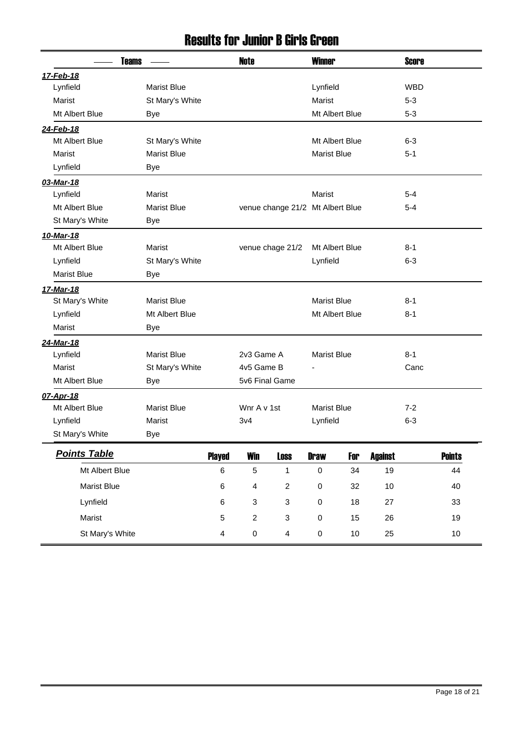#### Results for Junior B Girls Green

| <b>Teams</b>        |                    |                         | Note                      |                                  | <b>Winner</b>      |                |                | <b>Score</b> |               |  |
|---------------------|--------------------|-------------------------|---------------------------|----------------------------------|--------------------|----------------|----------------|--------------|---------------|--|
| 17-Feb-18           |                    |                         |                           |                                  |                    |                |                |              |               |  |
| Lynfield            | <b>Marist Blue</b> |                         |                           |                                  | Lynfield           |                |                | <b>WBD</b>   |               |  |
| Marist              | St Mary's White    |                         |                           |                                  | Marist             |                |                | $5 - 3$      |               |  |
| Mt Albert Blue      | Bye                |                         |                           |                                  |                    | Mt Albert Blue |                | $5 - 3$      |               |  |
| 24-Feb-18           |                    |                         |                           |                                  |                    |                |                |              |               |  |
| Mt Albert Blue      | St Mary's White    |                         |                           |                                  |                    | Mt Albert Blue |                | $6 - 3$      |               |  |
| Marist              | <b>Marist Blue</b> |                         |                           |                                  | <b>Marist Blue</b> |                |                | $5 - 1$      |               |  |
| Lynfield            | Bye                |                         |                           |                                  |                    |                |                |              |               |  |
| 03-Mar-18           |                    |                         |                           |                                  |                    |                |                |              |               |  |
| Lynfield            | Marist             |                         |                           |                                  | Marist             |                |                | $5 - 4$      |               |  |
| Mt Albert Blue      | <b>Marist Blue</b> |                         |                           | venue change 21/2 Mt Albert Blue |                    |                |                | 5-4          |               |  |
| St Mary's White     | Bye                |                         |                           |                                  |                    |                |                |              |               |  |
| 10-Mar-18           |                    |                         |                           |                                  |                    |                |                |              |               |  |
| Mt Albert Blue      | <b>Marist</b>      |                         | venue chage 21/2          |                                  |                    | Mt Albert Blue |                |              | 8-1           |  |
| Lynfield            | St Mary's White    |                         |                           |                                  |                    | Lynfield       |                | $6 - 3$      |               |  |
| <b>Marist Blue</b>  | Bye                |                         |                           |                                  |                    |                |                |              |               |  |
| 17-Mar-18           |                    |                         |                           |                                  |                    |                |                |              |               |  |
| St Mary's White     | <b>Marist Blue</b> |                         |                           |                                  | <b>Marist Blue</b> |                |                | $8 - 1$      |               |  |
| Lynfield            | Mt Albert Blue     |                         |                           |                                  |                    | Mt Albert Blue |                | $8 - 1$      |               |  |
| Marist              | Bye                |                         |                           |                                  |                    |                |                |              |               |  |
| 24-Mar-18           |                    |                         |                           |                                  |                    |                |                |              |               |  |
| Lynfield            | <b>Marist Blue</b> |                         | 2v3 Game A                |                                  | <b>Marist Blue</b> |                |                | $8 - 1$      |               |  |
| Marist              | St Mary's White    |                         | 4v5 Game B                |                                  |                    |                |                | Canc         |               |  |
| Mt Albert Blue      | Bye                |                         | 5v6 Final Game            |                                  |                    |                |                |              |               |  |
| 07-Apr-18           |                    |                         |                           |                                  |                    |                |                |              |               |  |
| Mt Albert Blue      | <b>Marist Blue</b> |                         | Wnr A v 1st               |                                  | <b>Marist Blue</b> |                |                | $7-2$        |               |  |
| Lynfield            | Marist             |                         | 3v4                       |                                  | Lynfield           |                |                | $6 - 3$      |               |  |
| St Mary's White     | Bye                |                         |                           |                                  |                    |                |                |              |               |  |
| <b>Points Table</b> |                    | <b>Played</b>           | Win                       | <b>Loss</b>                      | <b>Draw</b>        | For            | <b>Against</b> |              | <b>Points</b> |  |
| Mt Albert Blue      |                    | $\,6$                   | $\sqrt{5}$                | $\mathbf{1}$                     | $\mathbf 0$        | 34             | 19             |              | 44            |  |
| <b>Marist Blue</b>  |                    | $\,6\,$                 | $\overline{4}$            | $\overline{c}$                   | $\pmb{0}$          | 32             | 10             |              | 40            |  |
| Lynfield            |                    | $\,6\,$                 | $\ensuremath{\mathsf{3}}$ | 3                                | $\pmb{0}$          | 18             | 27             |              | 33            |  |
| Marist              |                    | $\sqrt{5}$              | $\overline{c}$            | 3                                | $\pmb{0}$          | 15             | 26             |              | 19            |  |
| St Mary's White     |                    | $\overline{\mathbf{4}}$ | $\pmb{0}$                 | $\overline{\mathbf{4}}$          | $\pmb{0}$          | 10             | 25             |              | $10$          |  |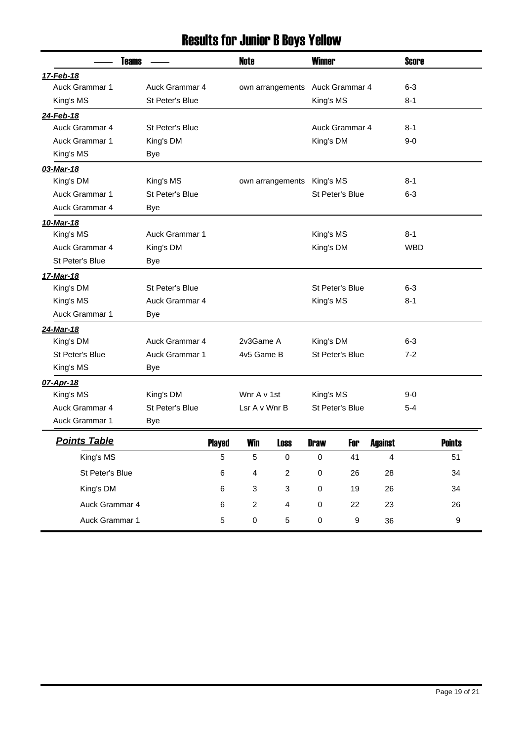# Results for Junior B Boys Yellow

| <b>Teams</b>          |                       |               | <b>Note</b>               | <b>Winner</b>    |             |                 | <b>Score</b>   |            |               |
|-----------------------|-----------------------|---------------|---------------------------|------------------|-------------|-----------------|----------------|------------|---------------|
| 17-Feb-18             |                       |               |                           |                  |             |                 |                |            |               |
| Auck Grammar 1        | Auck Grammar 4        |               |                           | own arrangements |             | Auck Grammar 4  |                | $6 - 3$    |               |
| King's MS             | St Peter's Blue       |               |                           |                  | King's MS   |                 |                | 8-1        |               |
| 24-Feb-18             |                       |               |                           |                  |             |                 |                |            |               |
| Auck Grammar 4        | St Peter's Blue       |               |                           |                  |             | Auck Grammar 4  |                | 8-1        |               |
| Auck Grammar 1        | King's DM             |               |                           |                  | King's DM   |                 |                | $9-0$      |               |
| King's MS             | Bye                   |               |                           |                  |             |                 |                |            |               |
| 03-Mar-18             |                       |               |                           |                  |             |                 |                |            |               |
| King's DM             | King's MS             |               |                           | own arrangements | King's MS   |                 |                | 8-1        |               |
| <b>Auck Grammar 1</b> | St Peter's Blue       |               |                           |                  |             | St Peter's Blue |                | $6 - 3$    |               |
| Auck Grammar 4        | Bye                   |               |                           |                  |             |                 |                |            |               |
| 10-Mar-18             |                       |               |                           |                  |             |                 |                |            |               |
| King's MS             | <b>Auck Grammar 1</b> |               |                           |                  | King's MS   |                 |                | $8 - 1$    |               |
| Auck Grammar 4        | King's DM             |               |                           |                  | King's DM   |                 |                | <b>WBD</b> |               |
| St Peter's Blue       | <b>Bye</b>            |               |                           |                  |             |                 |                |            |               |
| 17-Mar-18             |                       |               |                           |                  |             |                 |                |            |               |
| King's DM             | St Peter's Blue       |               |                           |                  |             | St Peter's Blue |                | $6 - 3$    |               |
| King's MS             | Auck Grammar 4        |               |                           |                  | King's MS   |                 |                | 8-1        |               |
| <b>Auck Grammar 1</b> | Bye                   |               |                           |                  |             |                 |                |            |               |
| 24-Mar-18             |                       |               |                           |                  |             |                 |                |            |               |
| King's DM             | Auck Grammar 4        |               | 2v3Game A                 |                  | King's DM   |                 |                | $6 - 3$    |               |
| St Peter's Blue       | <b>Auck Grammar 1</b> |               | 4v5 Game B                |                  |             | St Peter's Blue |                | 7-2        |               |
| King's MS             | Bye                   |               |                           |                  |             |                 |                |            |               |
| 07-Apr-18             |                       |               |                           |                  |             |                 |                |            |               |
| King's MS             | King's DM             |               | Wnr A v 1st               |                  | King's MS   |                 |                | 9-0        |               |
| Auck Grammar 4        | St Peter's Blue       |               | Lsr A v Wnr B             |                  |             | St Peter's Blue |                | $5 - 4$    |               |
| Auck Grammar 1        | Bye                   |               |                           |                  |             |                 |                |            |               |
| <b>Points Table</b>   |                       | <b>Played</b> | Win                       | <b>Loss</b>      | <b>Draw</b> | For             | <b>Against</b> |            | <b>Points</b> |
| King's MS             |                       | 5             | $\sqrt{5}$                | $\pmb{0}$        | $\pmb{0}$   | 41              | $\overline{4}$ |            | 51            |
| St Peter's Blue       |                       | $\,6\,$       | $\overline{\mathbf{4}}$   | $\mathbf 2$      | $\pmb{0}$   | 26              | 28             |            | 34            |
|                       |                       |               |                           |                  |             |                 |                |            |               |
| King's DM             |                       | 6             | $\ensuremath{\mathsf{3}}$ | 3                | $\pmb{0}$   | 19              | 26             |            | 34            |
| Auck Grammar 4        |                       | 6             | $\overline{c}$            | 4                | $\pmb{0}$   | 22              | 23             |            | 26            |
| Auck Grammar 1        |                       | 5             | $\pmb{0}$                 | 5                | $\pmb{0}$   | 9               | 36             |            | 9             |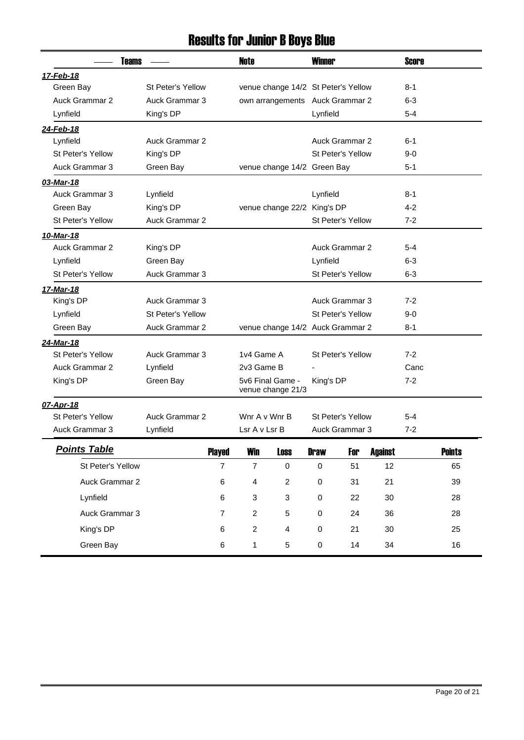## Results for Junior B Boys Blue

| <b>Teams</b>                   |                       |                | Note                    |                                     | <b>Winner</b>            |                          |                | <b>Score</b>   |               |
|--------------------------------|-----------------------|----------------|-------------------------|-------------------------------------|--------------------------|--------------------------|----------------|----------------|---------------|
| 17-Feb-18                      |                       |                |                         |                                     |                          |                          |                |                |               |
| Green Bay                      | St Peter's Yellow     |                |                         | venue change 14/2 St Peter's Yellow |                          |                          |                | $8 - 1$        |               |
| <b>Auck Grammar 2</b>          | Auck Grammar 3        |                |                         | own arrangements Auck Grammar 2     |                          |                          |                | 6-3            |               |
| Lynfield                       | King's DP             |                |                         |                                     | Lynfield                 |                          |                | $5 - 4$        |               |
| 24-Feb-18                      |                       |                |                         |                                     |                          |                          |                |                |               |
| Lynfield                       | <b>Auck Grammar 2</b> |                |                         |                                     |                          | Auck Grammar 2           |                | $6 - 1$        |               |
| St Peter's Yellow              | King's DP             |                |                         |                                     |                          | St Peter's Yellow        |                | 9-0            |               |
| Auck Grammar 3                 | Green Bay             |                |                         | venue change 14/2 Green Bay         |                          |                          |                | 5-1            |               |
| 03-Mar-18                      |                       |                |                         |                                     |                          |                          |                |                |               |
| Auck Grammar 3                 | Lynfield              |                |                         |                                     | Lynfield                 |                          |                | $8 - 1$        |               |
| Green Bay                      | King's DP             |                |                         | venue change 22/2 King's DP         |                          |                          |                | $4-2$          |               |
| St Peter's Yellow              | <b>Auck Grammar 2</b> |                |                         |                                     |                          | <b>St Peter's Yellow</b> |                |                |               |
| 10-Mar-18                      |                       |                |                         |                                     |                          |                          |                |                |               |
| <b>Auck Grammar 2</b>          | King's DP             |                |                         |                                     |                          | <b>Auck Grammar 2</b>    |                | 5-4            |               |
| Lynfield                       | Green Bay             |                |                         |                                     | Lynfield                 |                          |                | $6 - 3$        |               |
| St Peter's Yellow              | Auck Grammar 3        |                |                         |                                     |                          | St Peter's Yellow        |                | $6 - 3$        |               |
| <u>17-Mar-18</u>               |                       |                |                         |                                     |                          |                          |                |                |               |
| King's DP                      | Auck Grammar 3        |                |                         |                                     |                          | Auck Grammar 3           |                | $7-2$          |               |
| Lynfield                       | St Peter's Yellow     |                |                         |                                     |                          | <b>St Peter's Yellow</b> |                | 9-0            |               |
| Green Bay                      | <b>Auck Grammar 2</b> |                |                         | venue change 14/2 Auck Grammar 2    |                          |                          |                | $8 - 1$        |               |
| 24-Mar-18                      |                       |                |                         |                                     |                          |                          |                |                |               |
| St Peter's Yellow              | Auck Grammar 3        |                | 1v4 Game A              |                                     | <b>St Peter's Yellow</b> |                          |                | $7-2$          |               |
| <b>Auck Grammar 2</b>          | Lynfield              |                | 2v3 Game B              |                                     |                          |                          |                | Canc           |               |
| King's DP                      | Green Bay             |                |                         | 5v6 Final Game -                    | King's DP                |                          |                | $7 - 2$        |               |
|                                |                       |                |                         | venue change 21/3                   |                          |                          |                |                |               |
| 07-Apr-18<br>St Peter's Yellow | Auck Grammar 2        |                | Wnr A v Wnr B           |                                     |                          | St Peter's Yellow        |                |                |               |
| Auck Grammar 3                 |                       |                | Lsr A v Lsr B           |                                     |                          | Auck Grammar 3           |                | $5 - 4$<br>7-2 |               |
|                                | Lynfield              |                |                         |                                     |                          |                          |                |                |               |
| <b>Points Table</b>            |                       | <b>Played</b>  | Win                     | <b>Loss</b>                         | <b>Draw</b>              | For                      | <b>Against</b> |                | <b>Points</b> |
| St Peter's Yellow              |                       | $\overline{7}$ | $\overline{7}$          | $\pmb{0}$                           | $\pmb{0}$                | 51                       | 12             |                | 65            |
| Auck Grammar 2                 |                       | $\,6\,$        | $\overline{\mathbf{4}}$ | $\overline{c}$                      | $\pmb{0}$                | 31                       | 21             |                | 39            |
| Lynfield                       |                       | 6              | $\sqrt{3}$              | 3                                   | $\pmb{0}$                | 22                       | 30             |                | 28            |
| Auck Grammar 3                 |                       | $\overline{7}$ | $\overline{c}$          | 5                                   | $\mathbf 0$              | 24                       | 36             |                | 28            |
| King's DP                      |                       | 6              | $\overline{c}$          | 4                                   | $\pmb{0}$                | 21                       | 30             |                | 25            |
| Green Bay                      |                       | 6              | $\mathbf{1}$            | 5                                   | $\pmb{0}$                | 14                       | 34             |                | 16            |